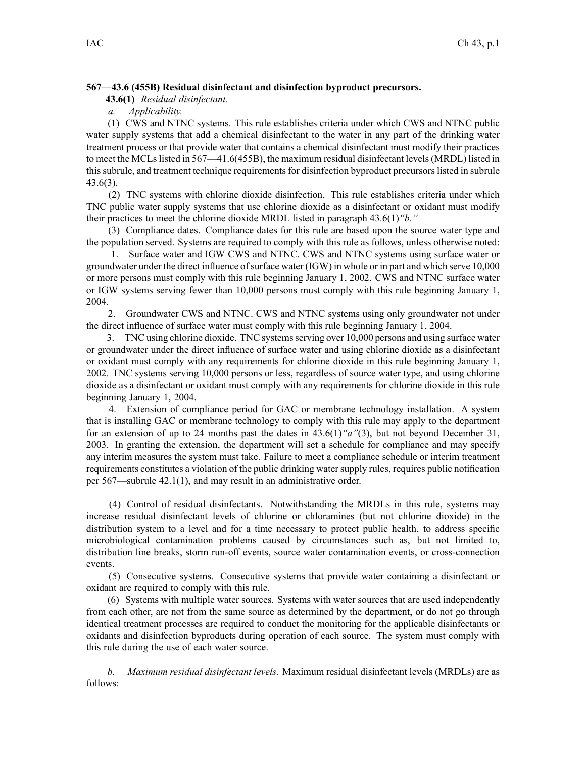#### **567—43.6 (455B) Residual disinfectant and disinfection byproduct precursors.**

**43.6(1)** *Residual disinfectant.*

*a. Applicability.*

(1) CWS and NTNC systems. This rule establishes criteria under which CWS and NTNC public water supply systems that add <sup>a</sup> chemical disinfectant to the water in any par<sup>t</sup> of the drinking water treatment process or that provide water that contains <sup>a</sup> chemical disinfectant must modify their practices to meet the MCLslisted in 567—41.6(455B), the maximum residual disinfectant levels(MRDL) listed in this subrule, and treatment technique requirements for disinfection byproduct precursors listed in subrule 43.6(3).

(2) TNC systems with chlorine dioxide disinfection. This rule establishes criteria under which TNC public water supply systems that use chlorine dioxide as <sup>a</sup> disinfectant or oxidant must modify their practices to meet the chlorine dioxide MRDL listed in paragraph 43.6(1)*"b."*

(3) Compliance dates. Compliance dates for this rule are based upon the source water type and the population served. Systems are required to comply with this rule as follows, unless otherwise noted:

1. Surface water and IGW CWS and NTNC. CWS and NTNC systems using surface water or groundwater under the direct influence ofsurface water (IGW) in whole or in par<sup>t</sup> and which serve 10,000 or more persons must comply with this rule beginning January 1, 2002. CWS and NTNC surface water or IGW systems serving fewer than 10,000 persons must comply with this rule beginning January 1, 2004.

2. Groundwater CWS and NTNC. CWS and NTNC systems using only groundwater not under the direct influence of surface water must comply with this rule beginning January 1, 2004.

3. TNC using chlorine dioxide. TNC systemsserving over 10,000 persons and using surface water or groundwater under the direct influence of surface water and using chlorine dioxide as <sup>a</sup> disinfectant or oxidant must comply with any requirements for chlorine dioxide in this rule beginning January 1, 2002. TNC systems serving 10,000 persons or less, regardless of source water type, and using chlorine dioxide as <sup>a</sup> disinfectant or oxidant must comply with any requirements for chlorine dioxide in this rule beginning January 1, 2004.

4. Extension of compliance period for GAC or membrane technology installation. A system that is installing GAC or membrane technology to comply with this rule may apply to the department for an extension of up to 24 months pas<sup>t</sup> the dates in 43.6(1)*"a"*(3), but not beyond December 31, 2003. In granting the extension, the department will set <sup>a</sup> schedule for compliance and may specify any interim measures the system must take. Failure to meet <sup>a</sup> compliance schedule or interim treatment requirements constitutes a violation of the public drinking water supply rules, requires public notification per 567—subrule 42.1(1), and may result in an administrative order.

(4) Control of residual disinfectants. Notwithstanding the MRDLs in this rule, systems may increase residual disinfectant levels of chlorine or chloramines (but not chlorine dioxide) in the distribution system to <sup>a</sup> level and for <sup>a</sup> time necessary to protect public health, to address specific microbiological contamination problems caused by circumstances such as, but not limited to, distribution line breaks, storm run-off events, source water contamination events, or cross-connection events.

(5) Consecutive systems. Consecutive systems that provide water containing <sup>a</sup> disinfectant or oxidant are required to comply with this rule.

(6) Systems with multiple water sources. Systems with water sources that are used independently from each other, are not from the same source as determined by the department, or do not go through identical treatment processes are required to conduct the monitoring for the applicable disinfectants or oxidants and disinfection byproducts during operation of each source. The system must comply with this rule during the use of each water source.

*b. Maximum residual disinfectant levels.* Maximum residual disinfectant levels (MRDLs) are as follows: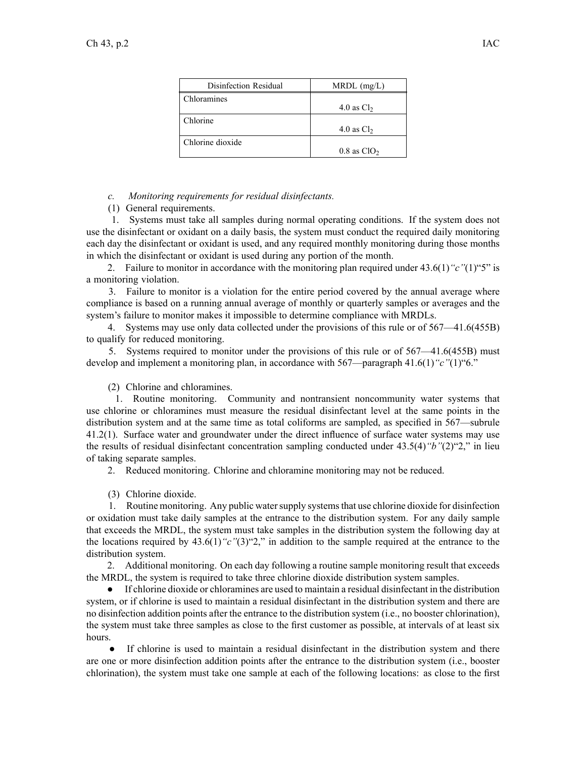| Disinfection Residual | $MRDL$ (mg/L)             |
|-----------------------|---------------------------|
| Chloramines           | 4.0 as $Cl2$              |
| Chlorine              | 4.0 as $Cl2$              |
| Chlorine dioxide      | $0.8$ as ClO <sub>2</sub> |

*c. Monitoring requirements for residual disinfectants.*

(1) General requirements.

1. Systems must take all samples during normal operating conditions. If the system does not use the disinfectant or oxidant on <sup>a</sup> daily basis, the system must conduct the required daily monitoring each day the disinfectant or oxidant is used, and any required monthly monitoring during those months in which the disinfectant or oxidant is used during any portion of the month.

2. Failure to monitor in accordance with the monitoring plan required under 43.6(1)*"c"*(1)"5" is <sup>a</sup> monitoring violation.

3. Failure to monitor is <sup>a</sup> violation for the entire period covered by the annual average where compliance is based on <sup>a</sup> running annual average of monthly or quarterly samples or averages and the system's failure to monitor makes it impossible to determine compliance with MRDLs.

4. Systems may use only data collected under the provisions of this rule or of 567—41.6(455B) to qualify for reduced monitoring.

5. Systems required to monitor under the provisions of this rule or of 567—41.6(455B) must develop and implement <sup>a</sup> monitoring plan, in accordance with 567—paragraph 41.6(1)*"c"*(1)"6."

(2) Chlorine and chloramines.

1. Routine monitoring. Community and nontransient noncommunity water systems that use chlorine or chloramines must measure the residual disinfectant level at the same points in the distribution system and at the same time as total coliforms are sampled, as specified in 567—subrule 41.2(1). Surface water and groundwater under the direct influence of surface water systems may use the results of residual disinfectant concentration sampling conducted under 43.5(4)*"b"*(2)"2," in lieu of taking separate samples.

2. Reduced monitoring. Chlorine and chloramine monitoring may not be reduced.

(3) Chlorine dioxide.

1. Routine monitoring. Any public watersupply systemsthat use chlorine dioxide for disinfection or oxidation must take daily samples at the entrance to the distribution system. For any daily sample that exceeds the MRDL, the system must take samples in the distribution system the following day at the locations required by 43.6(1)*"c"*(3)"2," in addition to the sample required at the entrance to the distribution system.

2. Additional monitoring. On each day following <sup>a</sup> routine sample monitoring result that exceeds the MRDL, the system is required to take three chlorine dioxide distribution system samples.

● If chlorine dioxide or chloramines are used to maintain <sup>a</sup> residual disinfectant in the distribution system, or if chlorine is used to maintain <sup>a</sup> residual disinfectant in the distribution system and there are no disinfection addition points after the entrance to the distribution system (i.e., no booster chlorination), the system must take three samples as close to the first customer as possible, at intervals of at least six hours.

• If chlorine is used to maintain a residual disinfectant in the distribution system and there are one or more disinfection addition points after the entrance to the distribution system (i.e., booster chlorination), the system must take one sample at each of the following locations: as close to the first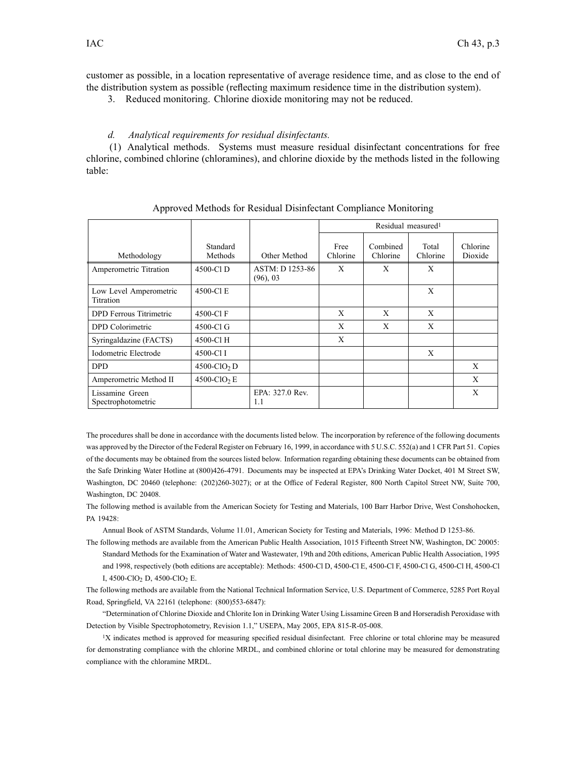customer as possible, in <sup>a</sup> location representative of average residence time, and as close to the end of the distribution system as possible (reflecting maximum residence time in the distribution system).

3. Reduced monitoring. Chlorine dioxide monitoring may not be reduced.

#### *d. Analytical requirements for residual disinfectants.*

(1) Analytical methods. Systems must measure residual disinfectant concentrations for free chlorine, combined chlorine (chloramines), and chlorine dioxide by the methods listed in the following table:

|                                            |                            |                             | Residual measured <sup>1</sup> |                      |                   |                     |
|--------------------------------------------|----------------------------|-----------------------------|--------------------------------|----------------------|-------------------|---------------------|
| Methodology                                | Standard<br>Methods        | Other Method                | Free<br>Chlorine               | Combined<br>Chlorine | Total<br>Chlorine | Chlorine<br>Dioxide |
| Amperometric Titration                     | 4500-Cl D                  | ASTM: D 1253-86<br>(96), 03 | X                              | X                    | X                 |                     |
| Low Level Amperometric<br><b>Titration</b> | 4500-Cl E                  |                             |                                |                      | X                 |                     |
| DPD Ferrous Titrimetric                    | 4500-Cl F                  |                             | X                              | X                    | X                 |                     |
| DPD Colorimetric                           | 4500-Cl G                  |                             | X                              | X                    | X                 |                     |
| Syringaldazine (FACTS)                     | 4500-Cl H                  |                             | X                              |                      |                   |                     |
| Iodometric Electrode                       | 4500-Cl I                  |                             |                                |                      | X                 |                     |
| <b>DPD</b>                                 | $4500$ -ClO <sub>2</sub> D |                             |                                |                      |                   | X                   |
| Amperometric Method II                     | $4500$ -ClO <sub>2</sub> E |                             |                                |                      |                   | X                   |
| Lissamine Green<br>Spectrophotometric      |                            | EPA: 327.0 Rev.<br>1.1      |                                |                      |                   | X                   |

Approved Methods for Residual Disinfectant Compliance Monitoring

The procedures shall be done in accordance with the documents listed below. The incorporation by reference of the following documents was approved by the Director of the Federal Register on February 16, 1999, in accordance with 5 U.S.C. 552(a) and 1 CFR Part 51. Copies of the documents may be obtained from the sources listed below. Information regarding obtaining these documents can be obtained from the Safe Drinking Water Hotline at (800)426-4791. Documents may be inspected at EPA's Drinking Water Docket, 401 M Street SW, Washington, DC 20460 (telephone: (202)260-3027); or at the Office of Federal Register, 800 North Capitol Street NW, Suite 700, Washington, DC 20408.

The following method is available from the American Society for Testing and Materials, 100 Barr Harbor Drive, West Conshohocken, PA 19428:

Annual Book of ASTM Standards, Volume 11.01, American Society for Testing and Materials, 1996: Method D 1253-86.

The following methods are available from the American Public Health Association, 1015 Fifteenth Street NW, Washington, DC 20005: Standard Methods for the Examination of Water and Wastewater, 19th and 20th editions, American Public Health Association, 1995 and 1998, respectively (both editions are acceptable): Methods: 4500-Cl D, 4500-Cl E, 4500-Cl F, 4500-Cl G, 4500-Cl H, 4500-Cl I, 4500-ClO<sub>2</sub> D, 4500-ClO<sub>2</sub> E.

The following methods are available from the National Technical Information Service, U.S. Department of Commerce, 5285 Port Royal Road, Springfield, VA 22161 (telephone: (800)553-6847):

"Determination of Chlorine Dioxide and Chlorite Ion in Drinking Water Using Lissamine Green B and Horseradish Peroxidase with Detection by Visible Spectrophotometry, Revision 1.1," USEPA, May 2005, EPA 815-R-05-008.

<sup>1</sup>X indicates method is approved for measuring specified residual disinfectant. Free chlorine or total chlorine may be measured for demonstrating compliance with the chlorine MRDL, and combined chlorine or total chlorine may be measured for demonstrating compliance with the chloramine MRDL.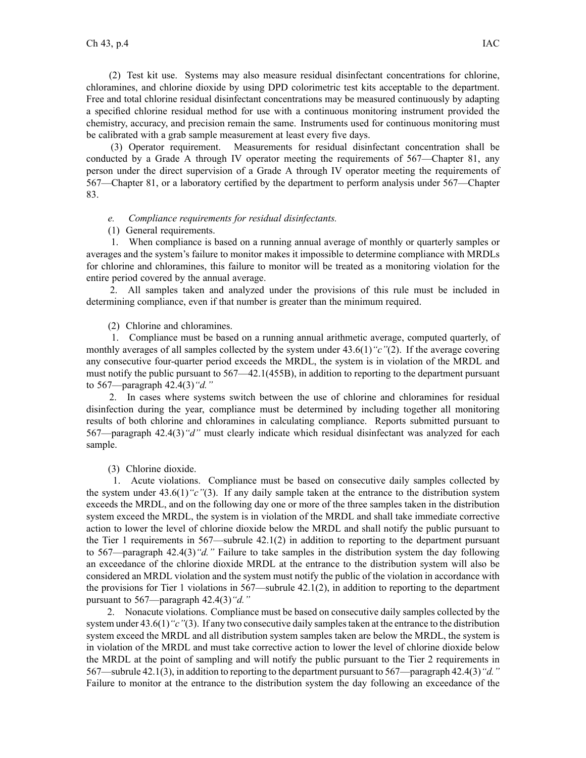(2) Test kit use. Systems may also measure residual disinfectant concentrations for chlorine, chloramines, and chlorine dioxide by using DPD colorimetric test kits acceptable to the department. Free and total chlorine residual disinfectant concentrations may be measured continuously by adapting <sup>a</sup> specified chlorine residual method for use with <sup>a</sup> continuous monitoring instrument provided the chemistry, accuracy, and precision remain the same. Instruments used for continuous monitoring must be calibrated with <sup>a</sup> grab sample measurement at least every five days.

(3) Operator requirement. Measurements for residual disinfectant concentration shall be conducted by <sup>a</sup> Grade A through IV operator meeting the requirements of 567—Chapter 81, any person under the direct supervision of <sup>a</sup> Grade A through IV operator meeting the requirements of 567—Chapter 81, or <sup>a</sup> laboratory certified by the department to perform analysis under 567—Chapter 83.

# *e. Compliance requirements for residual disinfectants.*

## (1) General requirements.

1. When compliance is based on <sup>a</sup> running annual average of monthly or quarterly samples or averages and the system's failure to monitor makes it impossible to determine compliance with MRDLs for chlorine and chloramines, this failure to monitor will be treated as <sup>a</sup> monitoring violation for the entire period covered by the annual average.

2. All samples taken and analyzed under the provisions of this rule must be included in determining compliance, even if that number is greater than the minimum required.

(2) Chlorine and chloramines.

1. Compliance must be based on <sup>a</sup> running annual arithmetic average, computed quarterly, of monthly averages of all samples collected by the system under 43.6(1)*"c"*(2). If the average covering any consecutive four-quarter period exceeds the MRDL, the system is in violation of the MRDL and must notify the public pursuan<sup>t</sup> to 567—42.1(455B), in addition to reporting to the department pursuan<sup>t</sup> to 567—paragraph 42.4(3)*"d."*

2. In cases where systems switch between the use of chlorine and chloramines for residual disinfection during the year, compliance must be determined by including together all monitoring results of both chlorine and chloramines in calculating compliance. Reports submitted pursuan<sup>t</sup> to 567—paragraph 42.4(3)*"d"* must clearly indicate which residual disinfectant was analyzed for each sample.

(3) Chlorine dioxide.

1. Acute violations. Compliance must be based on consecutive daily samples collected by the system under 43.6(1)*"c"*(3). If any daily sample taken at the entrance to the distribution system exceeds the MRDL, and on the following day one or more of the three samples taken in the distribution system exceed the MRDL, the system is in violation of the MRDL and shall take immediate corrective action to lower the level of chlorine dioxide below the MRDL and shall notify the public pursuan<sup>t</sup> to the Tier 1 requirements in 567—subrule 42.1(2) in addition to reporting to the department pursuan<sup>t</sup> to 567—paragraph 42.4(3)*"d."* Failure to take samples in the distribution system the day following an exceedance of the chlorine dioxide MRDL at the entrance to the distribution system will also be considered an MRDL violation and the system must notify the public of the violation in accordance with the provisions for Tier 1 violations in 567—subrule 42.1(2), in addition to reporting to the department pursuan<sup>t</sup> to 567—paragraph 42.4(3)*"d."*

2. Nonacute violations. Compliance must be based on consecutive daily samples collected by the system under 43.6(1)*"c"*(3). If any two consecutive daily samplestaken at the entrance to the distribution system exceed the MRDL and all distribution system samples taken are below the MRDL, the system is in violation of the MRDL and must take corrective action to lower the level of chlorine dioxide below the MRDL at the point of sampling and will notify the public pursuan<sup>t</sup> to the Tier 2 requirements in 567—subrule 42.1(3), in addition to reporting to the department pursuan<sup>t</sup> to 567—paragraph 42.4(3)*"d."* Failure to monitor at the entrance to the distribution system the day following an exceedance of the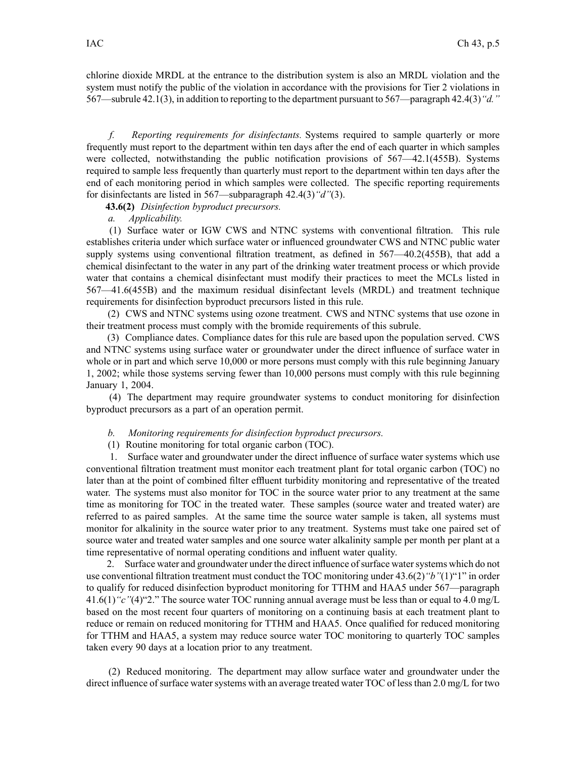chlorine dioxide MRDL at the entrance to the distribution system is also an MRDL violation and the system must notify the public of the violation in accordance with the provisions for Tier 2 violations in 567—subrule 42.1(3), in addition to reporting to the department pursuan<sup>t</sup> to 567—paragraph 42.4(3)*"d."*

*f. Reporting requirements for disinfectants.* Systems required to sample quarterly or more frequently must repor<sup>t</sup> to the department within ten days after the end of each quarter in which samples were collected, notwithstanding the public notification provisions of 567—42.1(455B). Systems required to sample less frequently than quarterly must repor<sup>t</sup> to the department within ten days after the end of each monitoring period in which samples were collected. The specific reporting requirements for disinfectants are listed in 567—subparagraph 42.4(3)*"d"*(3).

**43.6(2)** *Disinfection byproduct precursors.*

*a. Applicability.*

(1) Surface water or IGW CWS and NTNC systems with conventional filtration. This rule establishes criteria under which surface water or influenced groundwater CWS and NTNC public water supply systems using conventional filtration treatment, as defined in 567—40.2(455B), that add <sup>a</sup> chemical disinfectant to the water in any par<sup>t</sup> of the drinking water treatment process or which provide water that contains <sup>a</sup> chemical disinfectant must modify their practices to meet the MCLs listed in 567—41.6(455B) and the maximum residual disinfectant levels (MRDL) and treatment technique requirements for disinfection byproduct precursors listed in this rule.

(2) CWS and NTNC systems using ozone treatment. CWS and NTNC systems that use ozone in their treatment process must comply with the bromide requirements of this subrule.

(3) Compliance dates. Compliance dates for this rule are based upon the population served. CWS and NTNC systems using surface water or groundwater under the direct influence of surface water in whole or in part and which serve 10,000 or more persons must comply with this rule beginning January 1, 2002; while those systems serving fewer than 10,000 persons must comply with this rule beginning January 1, 2004.

(4) The department may require groundwater systems to conduct monitoring for disinfection byproduct precursors as <sup>a</sup> par<sup>t</sup> of an operation permit.

*b. Monitoring requirements for disinfection byproduct precursors.*

(1) Routine monitoring for total organic carbon (TOC).

1. Surface water and groundwater under the direct influence of surface water systems which use conventional filtration treatment must monitor each treatment plant for total organic carbon (TOC) no later than at the point of combined filter effluent turbidity monitoring and representative of the treated water. The systems must also monitor for TOC in the source water prior to any treatment at the same time as monitoring for TOC in the treated water. These samples (source water and treated water) are referred to as paired samples. At the same time the source water sample is taken, all systems must monitor for alkalinity in the source water prior to any treatment. Systems must take one paired set of source water and treated water samples and one source water alkalinity sample per month per plant at <sup>a</sup> time representative of normal operating conditions and influent water quality.

2. Surface water and groundwater under the direct influence of surface water systems which do not use conventional filtration treatment must conduct the TOC monitoring under 43.6(2)*"b"*(1)"1" in order to qualify for reduced disinfection byproduct monitoring for TTHM and HAA5 under 567—paragraph 41.6(1)*"c"*(4)"2." The source water TOC running annual average must be less than or equal to 4.0 mg/L based on the most recent four quarters of monitoring on <sup>a</sup> continuing basis at each treatment plant to reduce or remain on reduced monitoring for TTHM and HAA5. Once qualified for reduced monitoring for TTHM and HAA5, <sup>a</sup> system may reduce source water TOC monitoring to quarterly TOC samples taken every 90 days at <sup>a</sup> location prior to any treatment.

(2) Reduced monitoring. The department may allow surface water and groundwater under the direct influence of surface water systems with an average treated water TOC of less than 2.0 mg/L for two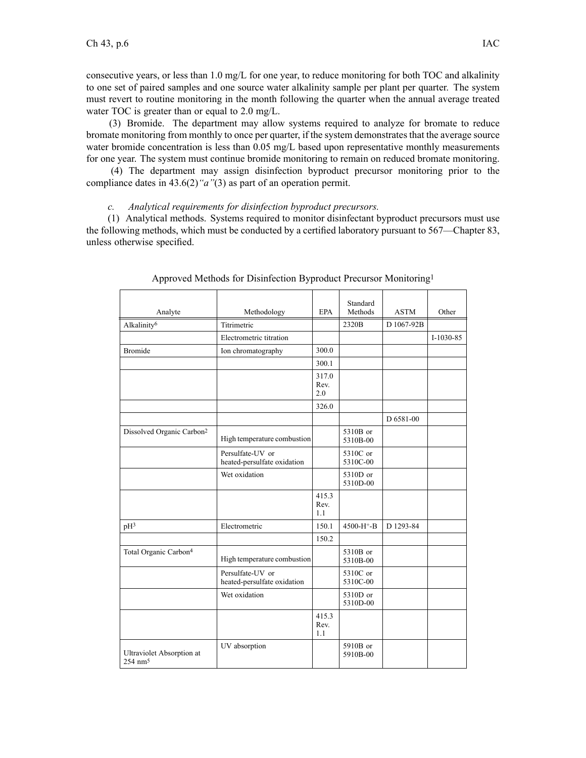consecutive years, or less than 1.0 mg/L for one year, to reduce monitoring for both TOC and alkalinity to one set of paired samples and one source water alkalinity sample per plant per quarter. The system must revert to routine monitoring in the month following the quarter when the annual average treated water TOC is greater than or equal to 2.0 mg/L.

(3) Bromide. The department may allow systems required to analyze for bromate to reduce bromate monitoring from monthly to once per quarter, if the system demonstrates that the average source water bromide concentration is less than 0.05 mg/L based upon representative monthly measurements for one year. The system must continue bromide monitoring to remain on reduced bromate monitoring.

(4) The department may assign disinfection byproduct precursor monitoring prior to the compliance dates in 43.6(2)*"a"*(3) as par<sup>t</sup> of an operation permit.

## *c. Analytical requirements for disinfection byproduct precursors.*

(1) Analytical methods. Systems required to monitor disinfectant byproduct precursors must use the following methods, which must be conducted by <sup>a</sup> certified laboratory pursuan<sup>t</sup> to 567—Chapter 83, unless otherwise specified.

| Analyte                                                | Methodology                                     | <b>EPA</b>           | Standard<br>Methods    | <b>ASTM</b> | Other       |
|--------------------------------------------------------|-------------------------------------------------|----------------------|------------------------|-------------|-------------|
| Alkalinity <sup>6</sup>                                | Titrimetric                                     |                      | 2320B                  | D 1067-92B  |             |
|                                                        | Electrometric titration                         |                      |                        |             | $I-1030-85$ |
| <b>Bromide</b>                                         | Ion chromatography                              | 300.0                |                        |             |             |
|                                                        |                                                 | 300.1                |                        |             |             |
|                                                        |                                                 | 317.0<br>Rev.<br>2.0 |                        |             |             |
|                                                        |                                                 | 326.0                |                        |             |             |
|                                                        |                                                 |                      |                        | D 6581-00   |             |
| Dissolved Organic Carbon <sup>2</sup>                  | High temperature combustion                     |                      | 5310B or<br>5310B-00   |             |             |
|                                                        | Persulfate-UV or<br>heated-persulfate oxidation |                      | 5310C or<br>5310C-00   |             |             |
|                                                        | Wet oxidation                                   |                      | 5310D or<br>5310D-00   |             |             |
|                                                        |                                                 | 415.3<br>Rev.<br>1.1 |                        |             |             |
| pH <sup>3</sup>                                        | Electrometric                                   | 150.1                | 4500-H <sup>+</sup> -B | D 1293-84   |             |
|                                                        |                                                 | 150.2                |                        |             |             |
| Total Organic Carbon <sup>4</sup>                      | High temperature combustion                     |                      | 5310B or<br>5310B-00   |             |             |
|                                                        | Persulfate-UV or<br>heated-persulfate oxidation |                      | 5310C or<br>5310C-00   |             |             |
|                                                        | Wet oxidation                                   |                      | 5310D or<br>5310D-00   |             |             |
|                                                        |                                                 | 415.3<br>Rev.<br>1.1 |                        |             |             |
| <b>Ultraviolet Absorption at</b><br>$254 \text{ nm}^5$ | UV absorption                                   |                      | 5910B or<br>5910B-00   |             |             |

Approved Methods for Disinfection Byproduct Precursor Monitoring<sup>1</sup>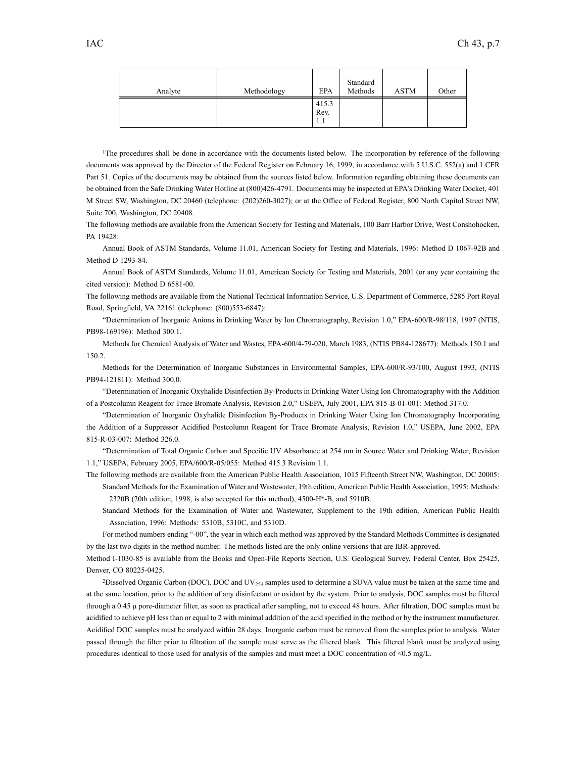| Analyte | Methodology | <b>EPA</b>           | Standard<br>Methods | <b>ASTM</b> | Other |
|---------|-------------|----------------------|---------------------|-------------|-------|
|         |             | 415.3<br>Rev.<br>1.1 |                     |             |       |

<sup>1</sup>The procedures shall be done in accordance with the documents listed below. The incorporation by reference of the following documents was approved by the Director of the Federal Register on February 16, 1999, in accordance with 5 U.S.C. 552(a) and 1 CFR Part 51. Copies of the documents may be obtained from the sources listed below. Information regarding obtaining these documents can be obtained from the Safe Drinking Water Hotline at (800)426-4791. Documents may be inspected at EPA's Drinking Water Docket, 401 M Street SW, Washington, DC 20460 (telephone: (202)260-3027); or at the Office of Federal Register, 800 North Capitol Street NW, Suite 700, Washington, DC 20408.

The following methods are available from the American Society for Testing and Materials, 100 Barr Harbor Drive, West Conshohocken, PA 19428:

Annual Book of ASTM Standards, Volume 11.01, American Society for Testing and Materials, 1996: Method D 1067-92B and Method D 1293-84.

Annual Book of ASTM Standards, Volume 11.01, American Society for Testing and Materials, 2001 (or any year containing the cited version): Method D 6581-00.

The following methods are available from the National Technical Information Service, U.S. Department of Commerce, 5285 Port Royal Road, Springfield, VA 22161 (telephone: (800)553-6847):

"Determination of Inorganic Anions in Drinking Water by Ion Chromatography, Revision 1.0," EPA-600/R-98/118, 1997 (NTIS, PB98-169196): Method 300.1.

Methods for Chemical Analysis of Water and Wastes, EPA-600/4-79-020, March 1983, (NTIS PB84-128677): Methods 150.1 and 150.2.

Methods for the Determination of Inorganic Substances in Environmental Samples, EPA-600/R-93/100, August 1993, (NTIS PB94-121811): Method 300.0.

"Determination of Inorganic Oxyhalide Disinfection By-Products in Drinking Water Using Ion Chromatography with the Addition of <sup>a</sup> Postcolumn Reagent for Trace Bromate Analysis, Revision 2.0," USEPA, July 2001, EPA 815-B-01-001: Method 317.0.

"Determination of Inorganic Oxyhalide Disinfection By-Products in Drinking Water Using Ion Chromatography Incorporating the Addition of <sup>a</sup> Suppressor Acidified Postcolumn Reagent for Trace Bromate Analysis, Revision 1.0," USEPA, June 2002, EPA 815-R-03-007: Method 326.0.

"Determination of Total Organic Carbon and Specific UV Absorbance at 254 nm in Source Water and Drinking Water, Revision 1.1," USEPA, February 2005, EPA/600/R-05/055: Method 415.3 Revision 1.1.

The following methods are available from the American Public Health Association, 1015 Fifteenth Street NW, Washington, DC 20005: Standard Methods for the Examination of Water and Wastewater, 19th edition, American Public Health Association, 1995: Methods:

2320B (20th edition, 1998, is also accepted for this method), 4500-H<sup>+</sup> -B, and 5910B.

Standard Methods for the Examination of Water and Wastewater, Supplement to the 19th edition, American Public Health Association, 1996: Methods: 5310B, 5310C, and 5310D.

For method numbers ending "-00", the year in which each method was approved by the Standard Methods Committee is designated by the last two digits in the method number. The methods listed are the only online versions that are IBR-approved.

Method I-1030-85 is available from the Books and Open-File Reports Section, U.S. Geological Survey, Federal Center, Box 25425, Denver, CO 80225-0425.

<sup>2</sup>Dissolved Organic Carbon (DOC). DOC and  $UV_{254}$  samples used to determine a SUVA value must be taken at the same time and at the same location, prior to the addition of any disinfectant or oxidant by the system. Prior to analysis, DOC samples must be filtered through <sup>a</sup> 0.45 μ pore-diameter filter, as soon as practical after sampling, not to exceed 48 hours. After filtration, DOC samples must be acidified to achieve pH less than or equal to 2 with minimal addition of the acid specified in the method or by the instrument manufacturer. Acidified DOC samples must be analyzed within 28 days. Inorganic carbon must be removed from the samples prior to analysis. Water passed through the filter prior to filtration of the sample must serve as the filtered blank. This filtered blank must be analyzed using procedures identical to those used for analysis of the samples and must meet <sup>a</sup> DOC concentration of <0.5 mg/L.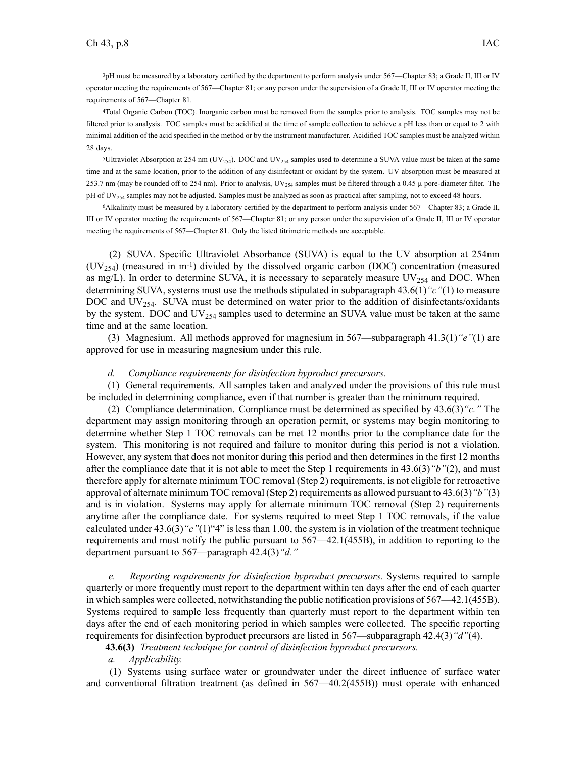<sup>3</sup>pH must be measured by <sup>a</sup> laboratory certified by the department to perform analysis under 567—Chapter 83; <sup>a</sup> Grade II, III or IV operator meeting the requirements of 567—Chapter 81; or any person under the supervision of <sup>a</sup> Grade II, III or IV operator meeting the requirements of 567—Chapter 81.

<sup>4</sup>Total Organic Carbon (TOC). Inorganic carbon must be removed from the samples prior to analysis. TOC samples may not be filtered prior to analysis. TOC samples must be acidified at the time of sample collection to achieve <sup>a</sup> pH less than or equal to 2 with minimal addition of the acid specified in the method or by the instrument manufacturer. Acidified TOC samples must be analyzed within 28 days.

<sup>5</sup>Ultraviolet Absorption at 254 nm (UV<sub>254</sub>). DOC and UV<sub>254</sub> samples used to determine a SUVA value must be taken at the same time and at the same location, prior to the addition of any disinfectant or oxidant by the system. UV absorption must be measured at 253.7 nm (may be rounded off to 254 nm). Prior to analysis,  $UV_{254}$  samples must be filtered through a 0.45  $\mu$  pore-diameter filter. The pH of UV<sub>254</sub> samples may not be adjusted. Samples must be analyzed as soon as practical after sampling, not to exceed 48 hours.

<sup>6</sup>Alkalinity must be measured by <sup>a</sup> laboratory certified by the department to perform analysis under 567—Chapter 83; <sup>a</sup> Grade II, III or IV operator meeting the requirements of 567—Chapter 81; or any person under the supervision of <sup>a</sup> Grade II, III or IV operator meeting the requirements of 567—Chapter 81. Only the listed titrimetric methods are acceptable.

(2) SUVA. Specific Ultraviolet Absorbance (SUVA) is equal to the UV absorption at 254nm  $(UV<sub>254</sub>)$  (measured in m<sup>-1</sup>) divided by the dissolved organic carbon (DOC) concentration (measured as mg/L). In order to determine SUVA, it is necessary to separately measure  $UV_{254}$  and DOC. When determining SUVA, systems must use the methods stipulated in subparagraph 43.6(1)*"c"*(1) to measure DOC and  $UV_{254}$ . SUVA must be determined on water prior to the addition of disinfectants/oxidants by the system. DOC and  $UV_{254}$  samples used to determine an SUVA value must be taken at the same time and at the same location.

(3) Magnesium. All methods approved for magnesium in 567—subparagraph 41.3(1)*"e"*(1) are approved for use in measuring magnesium under this rule.

#### *d. Compliance requirements for disinfection byproduct precursors.*

(1) General requirements. All samples taken and analyzed under the provisions of this rule must be included in determining compliance, even if that number is greater than the minimum required.

(2) Compliance determination. Compliance must be determined as specified by 43.6(3)*"c."* The department may assign monitoring through an operation permit, or systems may begin monitoring to determine whether Step 1 TOC removals can be met 12 months prior to the compliance date for the system. This monitoring is not required and failure to monitor during this period is not <sup>a</sup> violation. However, any system that does not monitor during this period and then determines in the first 12 months after the compliance date that it is not able to meet the Step 1 requirements in 43.6(3)*"b"*(2), and must therefore apply for alternate minimum TOC removal (Step 2) requirements, is not eligible for retroactive approval of alternate minimum TOC removal (Step 2) requirements as allowed pursuan<sup>t</sup> to 43.6(3)*"b"*(3) and is in violation. Systems may apply for alternate minimum TOC removal (Step 2) requirements anytime after the compliance date. For systems required to meet Step 1 TOC removals, if the value calculated under 43.6(3)*"c"*(1)"4" is less than 1.00, the system is in violation of the treatment technique requirements and must notify the public pursuan<sup>t</sup> to 567—42.1(455B), in addition to reporting to the department pursuan<sup>t</sup> to 567—paragraph 42.4(3)*"d."*

*e. Reporting requirements for disinfection byproduct precursors.* Systems required to sample quarterly or more frequently must repor<sup>t</sup> to the department within ten days after the end of each quarter in which samples were collected, notwithstanding the public notification provisions of 567—42.1(455B). Systems required to sample less frequently than quarterly must repor<sup>t</sup> to the department within ten days after the end of each monitoring period in which samples were collected. The specific reporting requirements for disinfection byproduct precursors are listed in 567—subparagraph 42.4(3)*"d"*(4).

**43.6(3)** *Treatment technique for control of disinfection byproduct precursors.*

*a. Applicability.*

(1) Systems using surface water or groundwater under the direct influence of surface water and conventional filtration treatment (as defined in 567—40.2(455B)) must operate with enhanced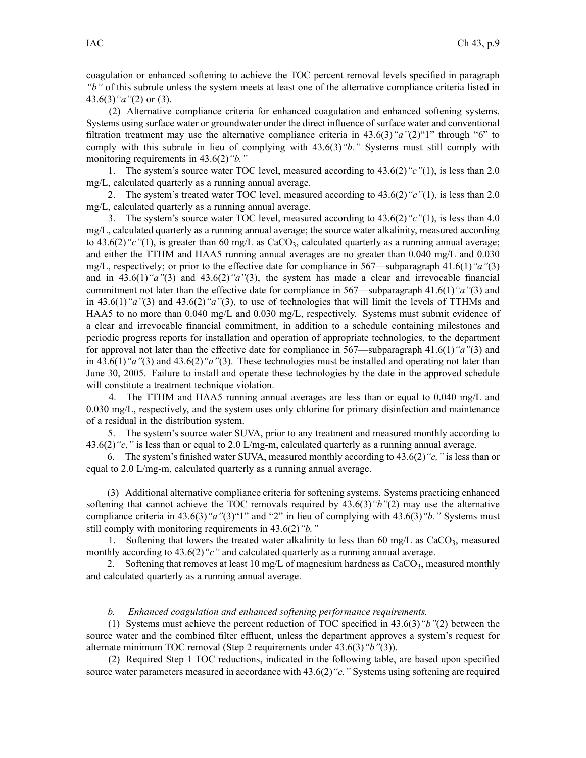coagulation or enhanced softening to achieve the TOC percen<sup>t</sup> removal levels specified in paragraph *"b"* of this subrule unless the system meets at least one of the alternative compliance criteria listed in 43.6(3)*"a"*(2) or (3).

(2) Alternative compliance criteria for enhanced coagulation and enhanced softening systems. Systems using surface water or groundwater under the direct influence of surface water and conventional filtration treatment may use the alternative compliance criteria in 43.6(3)*"a"*(2)"1" through "6" to comply with this subrule in lieu of complying with 43.6(3)*"b."* Systems must still comply with monitoring requirements in 43.6(2)*"b."*

1. The system's source water TOC level, measured according to 43.6(2)*"c"*(1), is less than 2.0 mg/L, calculated quarterly as <sup>a</sup> running annual average.

2. The system's treated water TOC level, measured according to 43.6(2)*"c"*(1), is less than 2.0 mg/L, calculated quarterly as <sup>a</sup> running annual average.

3. The system's source water TOC level, measured according to 43.6(2)*"c"*(1), is less than 4.0 mg/L, calculated quarterly as <sup>a</sup> running annual average; the source water alkalinity, measured according to  $43.6(2)$  "c"(1), is greater than 60 mg/L as CaCO<sub>3</sub>, calculated quarterly as a running annual average; and either the TTHM and HAA5 running annual averages are no greater than 0.040 mg/L and 0.030 mg/L, respectively; or prior to the effective date for compliance in 567—subparagraph 41.6(1)*"a"*(3) and in 43.6(1)*"a"*(3) and 43.6(2)*"a"*(3), the system has made <sup>a</sup> clear and irrevocable financial commitment not later than the effective date for compliance in 567—subparagraph 41.6(1)*"a"*(3) and in 43.6(1)*"a"*(3) and 43.6(2)*"a"*(3), to use of technologies that will limit the levels of TTHMs and HAA5 to no more than 0.040 mg/L and 0.030 mg/L, respectively. Systems must submit evidence of <sup>a</sup> clear and irrevocable financial commitment, in addition to <sup>a</sup> schedule containing milestones and periodic progress reports for installation and operation of appropriate technologies, to the department for approval not later than the effective date for compliance in 567—subparagraph 41.6(1)*"a"*(3) and in 43.6(1)*"a"*(3) and 43.6(2)*"a"*(3). These technologies must be installed and operating not later than June 30, 2005. Failure to install and operate these technologies by the date in the approved schedule will constitute <sup>a</sup> treatment technique violation.

4. The TTHM and HAA5 running annual averages are less than or equal to 0.040 mg/L and 0.030 mg/L, respectively, and the system uses only chlorine for primary disinfection and maintenance of <sup>a</sup> residual in the distribution system.

5. The system's source water SUVA, prior to any treatment and measured monthly according to 43.6(2)*"c,"* is less than or equal to 2.0 L/mg-m, calculated quarterly as <sup>a</sup> running annual average.

6. The system's finished water SUVA, measured monthly according to 43.6(2)*"c,"* is less than or equal to 2.0 L/mg-m, calculated quarterly as <sup>a</sup> running annual average.

(3) Additional alternative compliance criteria for softening systems. Systems practicing enhanced softening that cannot achieve the TOC removals required by 43.6(3)*"b"*(2) may use the alternative compliance criteria in 43.6(3)*"a"*(3)"1" and "2" in lieu of complying with 43.6(3)*"b."* Systems must still comply with monitoring requirements in 43.6(2)*"b."*

1. Softening that lowers the treated water alkalinity to less than 60 mg/L as  $CaCO<sub>3</sub>$ , measured monthly according to 43.6(2)<sup>"</sup>c" and calculated quarterly as a running annual average.

2. Softening that removes at least 10 mg/L of magnesium hardness as  $CaCO<sub>3</sub>$ , measured monthly and calculated quarterly as <sup>a</sup> running annual average.

## *b. Enhanced coagulation and enhanced softening performance requirements.*

(1) Systems must achieve the percen<sup>t</sup> reduction of TOC specified in 43.6(3)*"b"*(2) between the source water and the combined filter effluent, unless the department approves <sup>a</sup> system's reques<sup>t</sup> for alternate minimum TOC removal (Step 2 requirements under 43.6(3)*"b"*(3)).

(2) Required Step 1 TOC reductions, indicated in the following table, are based upon specified source water parameters measured in accordance with 43.6(2)*"c."* Systems using softening are required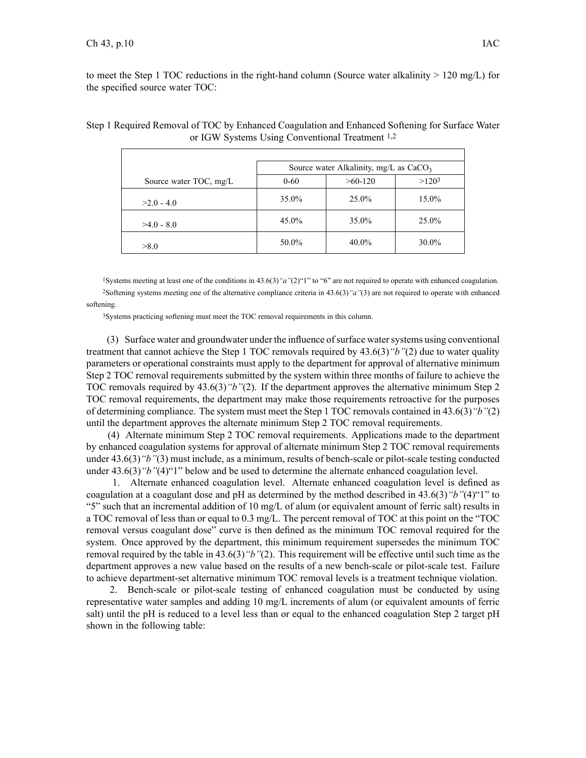to meet the Step 1 TOC reductions in the right-hand column (Source water alkalinity  $> 120 \text{ mg/L}$ ) for the specified source water TOC:

|                        | Source water Alkalinity, $mg/L$ as $CaCO3$ |           |                   |  |
|------------------------|--------------------------------------------|-----------|-------------------|--|
| Source water TOC, mg/L | $0 - 60$                                   | $>60-120$ | >120 <sup>3</sup> |  |
| $>2.0 - 4.0$           | 35.0%                                      | 25.0%     | $15.0\%$          |  |
| $>4.0 - 8.0$           | 45.0%                                      | 35.0%     | 25.0%             |  |
| >8.0                   | 50.0%                                      | $40.0\%$  | $30.0\%$          |  |

# Step 1 Required Removal of TOC by Enhanced Coagulation and Enhanced Softening for Surface Water or IGW Systems Using Conventional Treatment 1,2

<sup>1</sup>Systems meeting at least one of the conditions in 43.6(3)*"a"*(2)"1" to "6" are not required to operate with enhanced coagulation. <sup>2</sup>Softening systems meeting one of the alternative compliance criteria in 43.6(3)*"a"*(3) are not required to operate with enhanced softening.

<sup>3</sup>Systems practicing softening must meet the TOC removal requirements in this column.

(3) Surface water and groundwater under the influence ofsurface watersystems using conventional treatment that cannot achieve the Step 1 TOC removals required by 43.6(3)*"b"*(2) due to water quality parameters or operational constraints must apply to the department for approval of alternative minimum Step 2 TOC removal requirements submitted by the system within three months of failure to achieve the TOC removals required by 43.6(3)*"b"*(2). If the department approves the alternative minimum Step 2 TOC removal requirements, the department may make those requirements retroactive for the purposes of determining compliance. The system must meet the Step 1 TOC removals contained in 43.6(3)*"b"*(2) until the department approves the alternate minimum Step 2 TOC removal requirements.

(4) Alternate minimum Step 2 TOC removal requirements. Applications made to the department by enhanced coagulation systems for approval of alternate minimum Step 2 TOC removal requirements under 43.6(3)*"b"*(3) must include, as <sup>a</sup> minimum, results of bench-scale or pilot-scale testing conducted under 43.6(3)*"b"*(4)"1" below and be used to determine the alternate enhanced coagulation level.

1. Alternate enhanced coagulation level. Alternate enhanced coagulation level is defined as coagulation at <sup>a</sup> coagulant dose and pH as determined by the method described in 43.6(3)*"b"*(4)"1" to "5" such that an incremental addition of 10 mg/L of alum (or equivalent amount of ferric salt) results in <sup>a</sup> TOC removal of less than or equal to 0.3 mg/L. The percen<sup>t</sup> removal of TOC at this point on the "TOC removal versus coagulant dose" curve is then defined as the minimum TOC removal required for the system. Once approved by the department, this minimum requirement supersedes the minimum TOC removal required by the table in 43.6(3)*"b"*(2). This requirement will be effective until such time as the department approves <sup>a</sup> new value based on the results of <sup>a</sup> new bench-scale or pilot-scale test. Failure to achieve department-set alternative minimum TOC removal levels is <sup>a</sup> treatment technique violation.

2. Bench-scale or pilot-scale testing of enhanced coagulation must be conducted by using representative water samples and adding 10 mg/L increments of alum (or equivalent amounts of ferric salt) until the pH is reduced to <sup>a</sup> level less than or equal to the enhanced coagulation Step 2 target pH shown in the following table: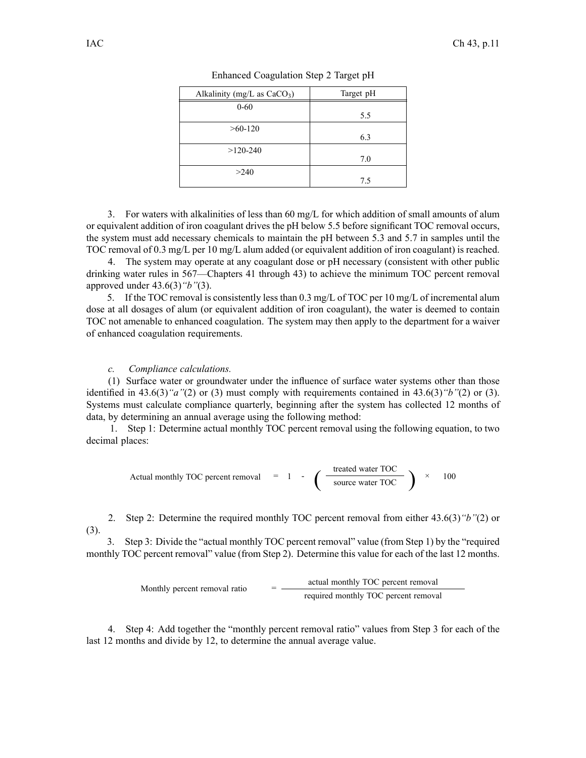| Alkalinity (mg/L as $CaCO3$ ) | Target pH |
|-------------------------------|-----------|
| $0 - 60$                      | 5.5       |
| $>60-120$                     | 6.3       |
| $>120-240$                    | 7.0       |
| >240                          | 7.5       |

Enhanced Coagulation Step 2 Target pH

3. For waters with alkalinities of less than 60 mg/L for which addition of small amounts of alum or equivalent addition of iron coagulant drives the pH below 5.5 before significant TOC removal occurs, the system must add necessary chemicals to maintain the pH between 5.3 and 5.7 in samples until the TOC removal of 0.3 mg/L per 10 mg/L alum added (or equivalent addition of iron coagulant) is reached.

4. The system may operate at any coagulant dose or pH necessary (consistent with other public drinking water rules in 567—Chapters 41 through 43) to achieve the minimum TOC percen<sup>t</sup> removal approved under 43.6(3)*"b"*(3).

5. If the TOC removal is consistently less than  $0.3 \text{ mg/L}$  of TOC per 10 mg/L of incremental alum dose at all dosages of alum (or equivalent addition of iron coagulant), the water is deemed to contain TOC not amenable to enhanced coagulation. The system may then apply to the department for <sup>a</sup> waiver of enhanced coagulation requirements.

# *c. Compliance calculations.*

(1) Surface water or groundwater under the influence of surface water systems other than those identified in 43.6(3)*"a"*(2) or (3) must comply with requirements contained in 43.6(3)*"b"*(2) or (3). Systems must calculate compliance quarterly, beginning after the system has collected 12 months of data, by determining an annual average using the following method:

1. Step 1: Determine actual monthly TOC percen<sup>t</sup> removal using the following equation, to two decimal places:

Actual monthly TOC percent removal = 1 - 
$$
\left(\frac{\text{treated water TOC}}{\text{source water TOC}}\right) \times 100
$$

2. Step 2: Determine the required monthly TOC percen<sup>t</sup> removal from either 43.6(3)*"b"*(2) or (3).

3. Step 3: Divide the "actual monthly TOC percen<sup>t</sup> removal" value (from Step 1) by the "required monthly TOC percen<sup>t</sup> removal" value (from Step 2). Determine this value for each of the last 12 months.

> actual monthly TOC percen<sup>t</sup> removal Monthly percent removal ratio required monthly TOC percen<sup>t</sup> removal

4. Step 4: Add together the "monthly percen<sup>t</sup> removal ratio" values from Step 3 for each of the last 12 months and divide by 12, to determine the annual average value.